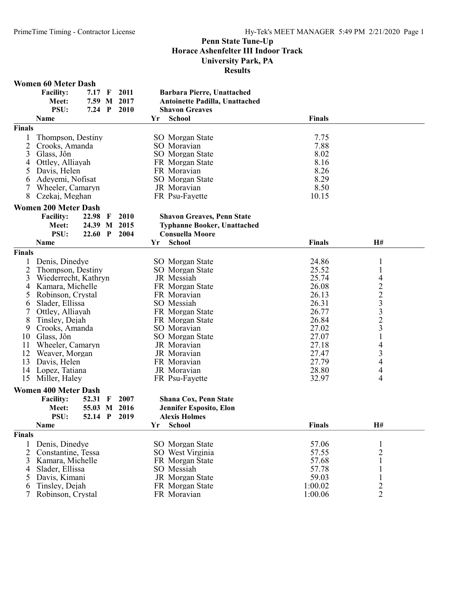|                | <b>Women 60 Meter Dash</b>  |          |              |      |    |                                       |               |                          |  |
|----------------|-----------------------------|----------|--------------|------|----|---------------------------------------|---------------|--------------------------|--|
|                | <b>Facility:</b>            | 7.17     | $\mathbf F$  | 2011 |    | Barbara Pierre, Unattached            |               |                          |  |
|                | Meet:                       | 7.59 M   |              | 2017 |    | <b>Antoinette Padilla, Unattached</b> |               |                          |  |
|                | PSU:                        | $7.24$ P |              | 2010 |    | <b>Shavon Greaves</b>                 |               |                          |  |
|                | <b>Name</b>                 |          |              |      | Yr | <b>School</b>                         | <b>Finals</b> |                          |  |
| <b>Finals</b>  |                             |          |              |      |    |                                       |               |                          |  |
| 1              | Thompson, Destiny           |          |              |      |    | <b>SO</b> Morgan State                | 7.75          |                          |  |
| $\overline{2}$ | Crooks, Amanda              |          |              |      |    | SO Moravian                           | 7.88          |                          |  |
|                |                             |          |              |      |    |                                       |               |                          |  |
| 3              | Glass, Jôn                  |          |              |      |    | SO Morgan State                       | 8.02          |                          |  |
| 4              | Ottley, Alliayah            |          |              |      |    | FR Morgan State                       | 8.16          |                          |  |
| 5              | Davis, Helen                |          |              |      |    | FR Moravian                           | 8.26          |                          |  |
| 6              | Adeyemi, Nofisat            |          |              |      |    | SO Morgan State                       | 8.29          |                          |  |
| 7              | Wheeler, Camaryn            |          |              |      |    | JR Moravian                           | 8.50          |                          |  |
| 8              | Czekaj, Meghan              |          |              |      |    | FR Psu-Fayette                        | 10.15         |                          |  |
|                | <b>Women 200 Meter Dash</b> |          |              |      |    |                                       |               |                          |  |
|                | <b>Facility:</b>            | 22.98    | -F           | 2010 |    | <b>Shavon Greaves, Penn State</b>     |               |                          |  |
|                | Meet:                       | 24.39 M  |              | 2015 |    | <b>Typhanne Booker, Unattached</b>    |               |                          |  |
|                | PSU:                        | 22.60 P  |              | 2004 |    | <b>Consuella Moore</b>                |               |                          |  |
|                | Name                        |          |              |      | Yr | <b>School</b>                         | <b>Finals</b> | H#                       |  |
| <b>Finals</b>  |                             |          |              |      |    |                                       |               |                          |  |
| 1              | Denis, Dinedye              |          |              |      |    | <b>SO</b> Morgan State                | 24.86         | $\mathbf{1}$             |  |
| 2              | Thompson, Destiny           |          |              |      |    | SO Morgan State                       | 25.52         | $\mathbf{1}$             |  |
| 3              | Wiederrecht, Kathryn        |          |              |      |    | JR Messiah                            | 25.74         |                          |  |
| 4              | Kamara, Michelle            |          |              |      |    | FR Morgan State                       | 26.08         |                          |  |
|                | Robinson, Crystal           |          |              |      |    | FR Moravian                           | 26.13         |                          |  |
| 5              |                             |          |              |      |    |                                       |               | 42233231                 |  |
| 6              | Slader, Ellissa             |          |              |      |    | SO Messiah                            | 26.31         |                          |  |
| 7              | Ottley, Alliayah            |          |              |      |    | FR Morgan State                       | 26.77         |                          |  |
| 8              | Tinsley, Dejah              |          |              |      |    | FR Morgan State                       | 26.84         |                          |  |
| 9              | Crooks, Amanda              |          |              |      |    | SO Moravian                           | 27.02         |                          |  |
| 10             | Glass, Jôn                  |          |              |      |    | <b>SO</b> Morgan State                | 27.07         |                          |  |
| 11             | Wheeler, Camaryn            |          |              |      |    | JR Moravian                           | 27.18         | $\overline{\mathcal{A}}$ |  |
| 12             | Weaver, Morgan              |          |              |      |    | JR Moravian                           | 27.47         | $\overline{\mathbf{3}}$  |  |
| 13             | Davis, Helen                |          |              |      |    | FR Moravian                           | 27.79         | $\overline{\mathcal{A}}$ |  |
| 14             | Lopez, Tatiana              |          |              |      |    | JR Moravian                           | 28.80         | $\overline{\mathcal{A}}$ |  |
| 15             | Miller, Haley               |          |              |      |    | FR Psu-Fayette                        | 32.97         | 4                        |  |
|                | <b>Women 400 Meter Dash</b> |          |              |      |    |                                       |               |                          |  |
|                | <b>Facility:</b>            | 52.31    | F            | 2007 |    | <b>Shana Cox, Penn State</b>          |               |                          |  |
|                | Meet:                       | 55.03 M  |              | 2016 |    | <b>Jennifer Esposito, Elon</b>        |               |                          |  |
|                | PSU:                        | 52.14    | $\mathbf{P}$ | 2019 |    | <b>Alexis Holmes</b>                  |               |                          |  |
|                |                             |          |              |      | Yr | <b>School</b>                         | Finals        | H#                       |  |
|                | Name                        |          |              |      |    |                                       |               |                          |  |
| <b>Finals</b>  |                             |          |              |      |    |                                       |               |                          |  |
| 1              | Denis, Dinedye              |          |              |      |    | SO Morgan State                       | 57.06         | 1                        |  |
| 2              | Constantine, Tessa          |          |              |      |    | SO West Virginia                      | 57.55         | $\overline{c}$           |  |
| 3              | Kamara, Michelle            |          |              |      |    | FR Morgan State                       | 57.68         | $\mathbf{1}$             |  |
| 4              | Slader, Ellissa             |          |              |      |    | SO Messiah                            | 57.78         |                          |  |
| 5              | Davis, Kimani               |          |              |      |    | JR Morgan State                       | 59.03         | 1                        |  |
| 6              | Tinsley, Dejah              |          |              |      |    | FR Morgan State                       | 1:00.02       | $\overline{2}$           |  |
| 7              | Robinson, Crystal           |          |              |      |    | FR Moravian                           | 1:00.06       | $\overline{2}$           |  |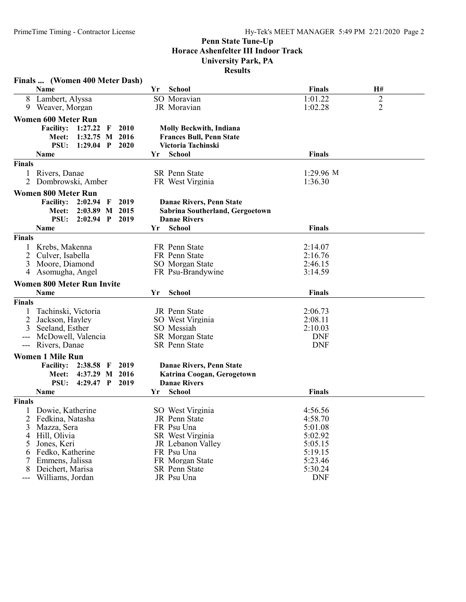|               | Finals  (Women 400 Meter Dash)           |                                 |               |                |
|---------------|------------------------------------------|---------------------------------|---------------|----------------|
|               | Name                                     | <b>School</b><br>Yr             | <b>Finals</b> | H#             |
| 8             | Lambert, Alyssa                          | SO Moravian                     | 1:01.22       | $\overline{2}$ |
| 9             | Weaver, Morgan                           | JR Moravian                     | 1:02.28       | $\overline{2}$ |
|               | <b>Women 600 Meter Run</b>               |                                 |               |                |
|               | <b>Facility:</b><br>2010<br>1:27.22<br>F | <b>Molly Beckwith, Indiana</b>  |               |                |
|               | 1:32.75<br>M 2016<br>Meet:               | <b>Frances Bull, Penn State</b> |               |                |
|               | PSU:<br>1:29.04 $P$<br>2020              | Victoria Tachinski              |               |                |
|               | Name                                     | School<br>Yr                    | <b>Finals</b> |                |
| Finals        |                                          |                                 |               |                |
|               | Rivers, Danae                            | SR Penn State                   | $1:29.96$ M   |                |
| 2             | Dombrowski, Amber                        | FR West Virginia                | 1:36.30       |                |
|               |                                          |                                 |               |                |
|               | <b>Women 800 Meter Run</b>               |                                 |               |                |
|               | <b>Facility:</b><br>$2:02.94$ F<br>2019  | Danae Rivers, Penn State        |               |                |
|               | Meet:<br>2:03.89 M 2015                  | Sabrina Southerland, Gergoetown |               |                |
|               | <b>PSU:</b><br>$2:02.94$ P<br>2019       | <b>Danae Rivers</b>             |               |                |
|               | Name                                     | <b>School</b><br>Yr             | <b>Finals</b> |                |
| Finals        |                                          |                                 |               |                |
|               | Krebs, Makenna                           | FR Penn State                   | 2:14.07       |                |
| 2             | Culver, Isabella                         | FR Penn State                   | 2:16.76       |                |
| 3             | Moore, Diamond                           | SO Morgan State                 | 2:46.15       |                |
| 4             | Asomugha, Angel                          | FR Psu-Brandywine               | 3:14.59       |                |
|               | <b>Women 800 Meter Run Invite</b>        |                                 |               |                |
|               | <b>Name</b>                              | <b>School</b><br>Yr             | <b>Finals</b> |                |
| <b>Finals</b> |                                          |                                 |               |                |
|               | Tachinski, Victoria                      | JR Penn State                   | 2:06.73       |                |
|               | Jackson, Hayley                          | SO West Virginia                | 2:08.11       |                |
| 3             | Seeland, Esther                          | SO Messiah                      | 2:10.03       |                |
|               | McDowell, Valencia                       | <b>SR</b> Morgan State          | <b>DNF</b>    |                |
| ---           | Rivers, Danae                            | <b>SR</b> Penn State            | <b>DNF</b>    |                |
|               | <b>Women 1 Mile Run</b>                  |                                 |               |                |
|               | <b>Facility:</b><br>2019<br>2:38.58<br>F | Danae Rivers, Penn State        |               |                |
|               | 4:37.29<br>M 2016<br><b>Meet:</b>        | Katrina Coogan, Gerogetown      |               |                |
|               | PSU:<br>$4:29.47$ P<br>2019              | <b>Danae Rivers</b>             |               |                |
|               | Name                                     | <b>School</b><br>Yr             | <b>Finals</b> |                |
| <b>Finals</b> |                                          |                                 |               |                |
|               | Dowie, Katherine                         | SO West Virginia                | 4:56.56       |                |
|               | 2 Fedkina, Natasha                       | JR Penn State                   | 4:58.70       |                |
| 3             | Mazza, Sera                              | FR Psu Una                      | 5:01.08       |                |
|               | 4 Hill, Olivia                           | SR West Virginia                | 5:02.92       |                |
| 5             | Jones, Keri                              | JR Lebanon Valley               | 5:05.15       |                |
| 6             | Fedko, Katherine                         | FR Psu Una                      | 5:19.15       |                |
| 7             | Emmens, Jalissa                          | FR Morgan State                 | 5:23.46       |                |
| 8             | Deichert, Marisa                         | SR Penn State                   | 5:30.24       |                |
| ---           | Williams, Jordan                         | JR Psu Una                      | <b>DNF</b>    |                |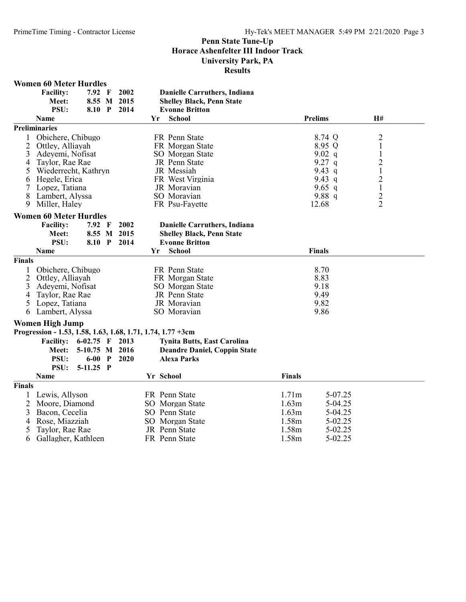|                | <b>Women 60 Meter Hurdles</b>                               |                |             |           |                                     |               |                |                |  |
|----------------|-------------------------------------------------------------|----------------|-------------|-----------|-------------------------------------|---------------|----------------|----------------|--|
|                | <b>Facility:</b>                                            | 7.92 F         | 2002        |           | Danielle Carruthers, Indiana        |               |                |                |  |
|                | Meet:                                                       |                | 8.55 M 2015 |           | <b>Shelley Black, Penn State</b>    |               |                |                |  |
|                | PSU:                                                        | 8.10 P         | 2014        |           | <b>Evonne Britton</b>               |               |                |                |  |
|                | <b>Name</b>                                                 |                |             | Yr        | <b>School</b>                       |               | <b>Prelims</b> | H#             |  |
|                | <b>Preliminaries</b>                                        |                |             |           |                                     |               |                |                |  |
| 1              | Obichere, Chibugo                                           |                |             |           | FR Penn State                       |               | 8.74 Q         | $\overline{c}$ |  |
| 2              | Ottley, Alliayah                                            |                |             |           | FR Morgan State                     |               | 8.95 Q         | $\mathbf{1}$   |  |
| 3              | Adeyemi, Nofisat                                            |                |             |           | SO Morgan State                     |               | 9.02 $q$       | $\mathbf{1}$   |  |
| 4              | Taylor, Rae Rae                                             |                |             |           | JR Penn State                       |               | $9.27$ q       | $\overline{c}$ |  |
| 5              | Wiederrecht, Kathryn                                        |                |             |           | JR Messiah                          |               | 9.43 q         | $\mathbf 1$    |  |
| 6              | Hegele, Erica                                               |                |             |           | FR West Virginia                    |               | 9.43 q         | $\overline{c}$ |  |
| 7              | Lopez, Tatiana                                              |                |             |           | JR Moravian                         |               | 9.65 q         | $\mathbf{1}$   |  |
| 8              | Lambert, Alyssa                                             |                |             |           | SO Moravian                         |               | 9.88 $q$       | $\frac{2}{2}$  |  |
| 9.             | Miller, Haley                                               |                |             |           | FR Psu-Fayette                      |               | 12.68          |                |  |
|                | <b>Women 60 Meter Hurdles</b>                               |                |             |           |                                     |               |                |                |  |
|                | <b>Facility:</b>                                            | 7.92 F         | 2002        |           | <b>Danielle Carruthers, Indiana</b> |               |                |                |  |
|                | Meet:                                                       |                | 8.55 M 2015 |           | <b>Shelley Black, Penn State</b>    |               |                |                |  |
|                | PSU:                                                        |                | 8.10 P 2014 |           | <b>Evonne Britton</b>               |               |                |                |  |
|                | <b>Name</b>                                                 |                |             | Yr        | <b>School</b>                       |               | <b>Finals</b>  |                |  |
| <b>Finals</b>  |                                                             |                |             |           |                                     |               |                |                |  |
| 1              | Obichere, Chibugo                                           |                |             |           | FR Penn State                       |               | 8.70           |                |  |
| $\overline{2}$ | Ottley, Alliayah                                            |                |             |           | FR Morgan State                     |               | 8.83           |                |  |
| 3              | Adeyemi, Nofisat                                            |                |             |           | SO Morgan State                     | 9.18          |                |                |  |
| 4              | Taylor, Rae Rae                                             |                |             |           | JR Penn State                       | 9.49          |                |                |  |
| 5              | Lopez, Tatiana                                              |                |             |           | JR Moravian                         |               | 9.82           |                |  |
| 6              | Lambert, Alyssa                                             |                |             |           | SO Moravian                         |               | 9.86           |                |  |
|                | <b>Women High Jump</b>                                      |                |             |           |                                     |               |                |                |  |
|                | Progression - 1.53, 1.58, 1.63, 1.68, 1.71, 1.74, 1.77 +3cm |                |             |           |                                     |               |                |                |  |
|                | <b>Facility: 6-02.75 F</b>                                  |                | 2013        |           | <b>Tynita Butts, East Carolina</b>  |               |                |                |  |
|                | Meet:                                                       | 5-10.75 M 2016 |             |           | <b>Deandre Daniel, Coppin State</b> |               |                |                |  |
|                | PSU:                                                        | $6-00$ P       | 2020        |           | <b>Alexa Parks</b>                  |               |                |                |  |
|                | PSU:                                                        | 5-11.25 P      |             |           |                                     |               |                |                |  |
|                | <b>Name</b>                                                 |                |             | Yr School |                                     | <b>Finals</b> |                |                |  |
| <b>Finals</b>  |                                                             |                |             |           |                                     |               |                |                |  |
| 1              | Lewis, Allyson                                              |                |             |           | FR Penn State                       | 1.71m         | 5-07.25        |                |  |
| 2              | Moore, Diamond                                              |                |             |           | SO Morgan State                     | 1.63m         | 5-04.25        |                |  |
| 3              | Bacon, Cecelia                                              |                |             |           | SO Penn State                       | 1.63m         | 5-04.25        |                |  |
| 4              | Rose, Miazziah                                              |                |             |           | SO Morgan State                     | 1.58m         | 5-02.25        |                |  |
| 5              | Taylor, Rae Rae                                             |                |             |           | JR Penn State                       | 1.58m         | 5-02.25        |                |  |
| 6              | Gallagher, Kathleen                                         |                |             |           | FR Penn State                       | 1.58m         | 5-02.25        |                |  |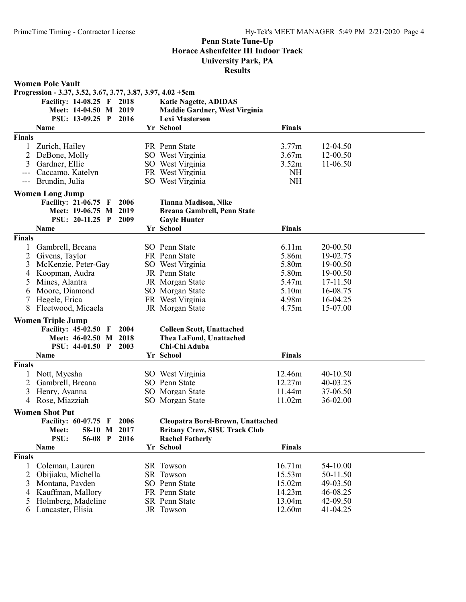| Progression - 3.37, 3.52, 3.67, 3.77, 3.87, 3.97, 4.02 +5cm<br><b>Katie Nagette, ADIDAS</b><br>Facility: 14-08.25 F 2018<br>Meet: 14-04.50 M<br>2019<br><b>Maddie Gardner, West Virginia</b><br>PSU: 13-09.25 P 2016<br><b>Lexi Masterson</b><br>Yr School<br><b>Finals</b><br>Name<br>$\overline{\mathbf{F}}$ inals<br>3.77m<br>Zurich, Hailey<br>FR Penn State<br>12-04.50<br>SO West Virginia<br>3.67m<br>12-00.50<br>2<br>DeBone, Molly<br>3.52m<br>3<br>Gardner, Ellie<br>SO West Virginia<br>11-06.50<br><b>NH</b><br>Caccamo, Katelyn<br>FR West Virginia<br><b>NH</b><br>Brundin, Julia<br>SO West Virginia<br>$\qquad \qquad - -$<br><b>Women Long Jump</b><br><b>Facility: 21-06.75 F</b><br>2006<br><b>Tianna Madison, Nike</b><br>Meet: 19-06.75 M 2019<br>Breana Gambrell, Penn State<br>PSU: 20-11.25 P<br>2009<br><b>Gayle Hunter</b><br><b>Finals</b><br>Name<br>Yr School<br><b>Finals</b><br>6.11m<br>Gambrell, Breana<br>SO Penn State<br>20-00.50<br>5.86m<br>2<br>FR Penn State<br>19-02.75<br>Givens, Taylor<br>McKenzie, Peter-Gay<br>5.80m<br>19-00.50<br>3<br>SO West Virginia<br>5.80m<br>Koopman, Audra<br>JR Penn State<br>19-00.50<br>4<br>Mines, Alantra<br>5.47m<br>17-11.50<br>JR Morgan State<br>5<br>5.10m<br>16-08.75<br>Moore, Diamond<br>SO Morgan State<br>6<br>4.98m<br>16-04.25<br>Hegele, Erica<br>FR West Virginia<br>7<br>8<br>Fleetwood, Micaela<br>4.75m<br>15-07.00<br>JR Morgan State | <b>Women Pole Vault</b> |  |  |  |
|--------------------------------------------------------------------------------------------------------------------------------------------------------------------------------------------------------------------------------------------------------------------------------------------------------------------------------------------------------------------------------------------------------------------------------------------------------------------------------------------------------------------------------------------------------------------------------------------------------------------------------------------------------------------------------------------------------------------------------------------------------------------------------------------------------------------------------------------------------------------------------------------------------------------------------------------------------------------------------------------------------------------------------------------------------------------------------------------------------------------------------------------------------------------------------------------------------------------------------------------------------------------------------------------------------------------------------------------------------------------------------------------------------------------------------------|-------------------------|--|--|--|
|                                                                                                                                                                                                                                                                                                                                                                                                                                                                                                                                                                                                                                                                                                                                                                                                                                                                                                                                                                                                                                                                                                                                                                                                                                                                                                                                                                                                                                      |                         |  |  |  |
|                                                                                                                                                                                                                                                                                                                                                                                                                                                                                                                                                                                                                                                                                                                                                                                                                                                                                                                                                                                                                                                                                                                                                                                                                                                                                                                                                                                                                                      |                         |  |  |  |
|                                                                                                                                                                                                                                                                                                                                                                                                                                                                                                                                                                                                                                                                                                                                                                                                                                                                                                                                                                                                                                                                                                                                                                                                                                                                                                                                                                                                                                      |                         |  |  |  |
|                                                                                                                                                                                                                                                                                                                                                                                                                                                                                                                                                                                                                                                                                                                                                                                                                                                                                                                                                                                                                                                                                                                                                                                                                                                                                                                                                                                                                                      |                         |  |  |  |
|                                                                                                                                                                                                                                                                                                                                                                                                                                                                                                                                                                                                                                                                                                                                                                                                                                                                                                                                                                                                                                                                                                                                                                                                                                                                                                                                                                                                                                      |                         |  |  |  |
|                                                                                                                                                                                                                                                                                                                                                                                                                                                                                                                                                                                                                                                                                                                                                                                                                                                                                                                                                                                                                                                                                                                                                                                                                                                                                                                                                                                                                                      |                         |  |  |  |
|                                                                                                                                                                                                                                                                                                                                                                                                                                                                                                                                                                                                                                                                                                                                                                                                                                                                                                                                                                                                                                                                                                                                                                                                                                                                                                                                                                                                                                      |                         |  |  |  |
|                                                                                                                                                                                                                                                                                                                                                                                                                                                                                                                                                                                                                                                                                                                                                                                                                                                                                                                                                                                                                                                                                                                                                                                                                                                                                                                                                                                                                                      |                         |  |  |  |
|                                                                                                                                                                                                                                                                                                                                                                                                                                                                                                                                                                                                                                                                                                                                                                                                                                                                                                                                                                                                                                                                                                                                                                                                                                                                                                                                                                                                                                      |                         |  |  |  |
|                                                                                                                                                                                                                                                                                                                                                                                                                                                                                                                                                                                                                                                                                                                                                                                                                                                                                                                                                                                                                                                                                                                                                                                                                                                                                                                                                                                                                                      |                         |  |  |  |
|                                                                                                                                                                                                                                                                                                                                                                                                                                                                                                                                                                                                                                                                                                                                                                                                                                                                                                                                                                                                                                                                                                                                                                                                                                                                                                                                                                                                                                      |                         |  |  |  |
|                                                                                                                                                                                                                                                                                                                                                                                                                                                                                                                                                                                                                                                                                                                                                                                                                                                                                                                                                                                                                                                                                                                                                                                                                                                                                                                                                                                                                                      |                         |  |  |  |
|                                                                                                                                                                                                                                                                                                                                                                                                                                                                                                                                                                                                                                                                                                                                                                                                                                                                                                                                                                                                                                                                                                                                                                                                                                                                                                                                                                                                                                      |                         |  |  |  |
|                                                                                                                                                                                                                                                                                                                                                                                                                                                                                                                                                                                                                                                                                                                                                                                                                                                                                                                                                                                                                                                                                                                                                                                                                                                                                                                                                                                                                                      |                         |  |  |  |
|                                                                                                                                                                                                                                                                                                                                                                                                                                                                                                                                                                                                                                                                                                                                                                                                                                                                                                                                                                                                                                                                                                                                                                                                                                                                                                                                                                                                                                      |                         |  |  |  |
|                                                                                                                                                                                                                                                                                                                                                                                                                                                                                                                                                                                                                                                                                                                                                                                                                                                                                                                                                                                                                                                                                                                                                                                                                                                                                                                                                                                                                                      |                         |  |  |  |
|                                                                                                                                                                                                                                                                                                                                                                                                                                                                                                                                                                                                                                                                                                                                                                                                                                                                                                                                                                                                                                                                                                                                                                                                                                                                                                                                                                                                                                      |                         |  |  |  |
|                                                                                                                                                                                                                                                                                                                                                                                                                                                                                                                                                                                                                                                                                                                                                                                                                                                                                                                                                                                                                                                                                                                                                                                                                                                                                                                                                                                                                                      |                         |  |  |  |
|                                                                                                                                                                                                                                                                                                                                                                                                                                                                                                                                                                                                                                                                                                                                                                                                                                                                                                                                                                                                                                                                                                                                                                                                                                                                                                                                                                                                                                      |                         |  |  |  |
|                                                                                                                                                                                                                                                                                                                                                                                                                                                                                                                                                                                                                                                                                                                                                                                                                                                                                                                                                                                                                                                                                                                                                                                                                                                                                                                                                                                                                                      |                         |  |  |  |
|                                                                                                                                                                                                                                                                                                                                                                                                                                                                                                                                                                                                                                                                                                                                                                                                                                                                                                                                                                                                                                                                                                                                                                                                                                                                                                                                                                                                                                      |                         |  |  |  |
|                                                                                                                                                                                                                                                                                                                                                                                                                                                                                                                                                                                                                                                                                                                                                                                                                                                                                                                                                                                                                                                                                                                                                                                                                                                                                                                                                                                                                                      |                         |  |  |  |
|                                                                                                                                                                                                                                                                                                                                                                                                                                                                                                                                                                                                                                                                                                                                                                                                                                                                                                                                                                                                                                                                                                                                                                                                                                                                                                                                                                                                                                      |                         |  |  |  |
|                                                                                                                                                                                                                                                                                                                                                                                                                                                                                                                                                                                                                                                                                                                                                                                                                                                                                                                                                                                                                                                                                                                                                                                                                                                                                                                                                                                                                                      |                         |  |  |  |
|                                                                                                                                                                                                                                                                                                                                                                                                                                                                                                                                                                                                                                                                                                                                                                                                                                                                                                                                                                                                                                                                                                                                                                                                                                                                                                                                                                                                                                      |                         |  |  |  |
| <b>Women Triple Jump</b>                                                                                                                                                                                                                                                                                                                                                                                                                                                                                                                                                                                                                                                                                                                                                                                                                                                                                                                                                                                                                                                                                                                                                                                                                                                                                                                                                                                                             |                         |  |  |  |
| <b>Facility: 45-02.50</b><br>2004<br><b>Colleen Scott, Unattached</b><br>$\mathbf{F}$                                                                                                                                                                                                                                                                                                                                                                                                                                                                                                                                                                                                                                                                                                                                                                                                                                                                                                                                                                                                                                                                                                                                                                                                                                                                                                                                                |                         |  |  |  |
| Meet: 46-02.50 M 2018<br>Thea LaFond, Unattached                                                                                                                                                                                                                                                                                                                                                                                                                                                                                                                                                                                                                                                                                                                                                                                                                                                                                                                                                                                                                                                                                                                                                                                                                                                                                                                                                                                     |                         |  |  |  |
| <b>PSU: 44-01.50 P</b><br>2003<br>Chi-Chi Aduba                                                                                                                                                                                                                                                                                                                                                                                                                                                                                                                                                                                                                                                                                                                                                                                                                                                                                                                                                                                                                                                                                                                                                                                                                                                                                                                                                                                      |                         |  |  |  |
| <b>Finals</b><br>Yr School<br>Name                                                                                                                                                                                                                                                                                                                                                                                                                                                                                                                                                                                                                                                                                                                                                                                                                                                                                                                                                                                                                                                                                                                                                                                                                                                                                                                                                                                                   |                         |  |  |  |
| <b>Finals</b>                                                                                                                                                                                                                                                                                                                                                                                                                                                                                                                                                                                                                                                                                                                                                                                                                                                                                                                                                                                                                                                                                                                                                                                                                                                                                                                                                                                                                        |                         |  |  |  |
| 12.46m<br>Nott, Myesha<br>SO West Virginia<br>40-10.50                                                                                                                                                                                                                                                                                                                                                                                                                                                                                                                                                                                                                                                                                                                                                                                                                                                                                                                                                                                                                                                                                                                                                                                                                                                                                                                                                                               |                         |  |  |  |
| 12.27m<br>2<br>Gambrell, Breana<br>SO Penn State<br>40-03.25                                                                                                                                                                                                                                                                                                                                                                                                                                                                                                                                                                                                                                                                                                                                                                                                                                                                                                                                                                                                                                                                                                                                                                                                                                                                                                                                                                         |                         |  |  |  |
| 11.44m<br>37-06.50<br>3<br>Henry, Ayanna<br>SO Morgan State                                                                                                                                                                                                                                                                                                                                                                                                                                                                                                                                                                                                                                                                                                                                                                                                                                                                                                                                                                                                                                                                                                                                                                                                                                                                                                                                                                          |                         |  |  |  |
| Rose, Miazziah<br>11.02m<br>36-02.00<br>SO Morgan State<br>4                                                                                                                                                                                                                                                                                                                                                                                                                                                                                                                                                                                                                                                                                                                                                                                                                                                                                                                                                                                                                                                                                                                                                                                                                                                                                                                                                                         |                         |  |  |  |
| <b>Women Shot Put</b>                                                                                                                                                                                                                                                                                                                                                                                                                                                                                                                                                                                                                                                                                                                                                                                                                                                                                                                                                                                                                                                                                                                                                                                                                                                                                                                                                                                                                |                         |  |  |  |
| 2006<br><b>Facility: 60-07.75 F</b><br>Cleopatra Borel-Brown, Unattached                                                                                                                                                                                                                                                                                                                                                                                                                                                                                                                                                                                                                                                                                                                                                                                                                                                                                                                                                                                                                                                                                                                                                                                                                                                                                                                                                             |                         |  |  |  |
| 58-10 M 2017<br><b>Britany Crew, SISU Track Club</b><br>Meet:                                                                                                                                                                                                                                                                                                                                                                                                                                                                                                                                                                                                                                                                                                                                                                                                                                                                                                                                                                                                                                                                                                                                                                                                                                                                                                                                                                        |                         |  |  |  |
| PSU:<br>56-08 P<br>2016<br><b>Rachel Fatherly</b>                                                                                                                                                                                                                                                                                                                                                                                                                                                                                                                                                                                                                                                                                                                                                                                                                                                                                                                                                                                                                                                                                                                                                                                                                                                                                                                                                                                    |                         |  |  |  |
| <b>Finals</b><br>Yr School<br>Name                                                                                                                                                                                                                                                                                                                                                                                                                                                                                                                                                                                                                                                                                                                                                                                                                                                                                                                                                                                                                                                                                                                                                                                                                                                                                                                                                                                                   |                         |  |  |  |
| <b>Finals</b>                                                                                                                                                                                                                                                                                                                                                                                                                                                                                                                                                                                                                                                                                                                                                                                                                                                                                                                                                                                                                                                                                                                                                                                                                                                                                                                                                                                                                        |                         |  |  |  |
| 16.71m<br>54-10.00<br>Coleman, Lauren<br>SR Towson<br>1                                                                                                                                                                                                                                                                                                                                                                                                                                                                                                                                                                                                                                                                                                                                                                                                                                                                                                                                                                                                                                                                                                                                                                                                                                                                                                                                                                              |                         |  |  |  |
| $\overline{2}$<br>Obijiaku, Michella<br>SR Towson<br>15.53m<br>50-11.50                                                                                                                                                                                                                                                                                                                                                                                                                                                                                                                                                                                                                                                                                                                                                                                                                                                                                                                                                                                                                                                                                                                                                                                                                                                                                                                                                              |                         |  |  |  |
| Montana, Payden<br>SO Penn State<br>15.02m<br>49-03.50<br>3                                                                                                                                                                                                                                                                                                                                                                                                                                                                                                                                                                                                                                                                                                                                                                                                                                                                                                                                                                                                                                                                                                                                                                                                                                                                                                                                                                          |                         |  |  |  |
| Kauffman, Mallory<br>FR Penn State<br>14.23m<br>46-08.25<br>4                                                                                                                                                                                                                                                                                                                                                                                                                                                                                                                                                                                                                                                                                                                                                                                                                                                                                                                                                                                                                                                                                                                                                                                                                                                                                                                                                                        |                         |  |  |  |
| Holmberg, Madeline<br>SR Penn State<br>13.04m<br>42-09.50<br>5                                                                                                                                                                                                                                                                                                                                                                                                                                                                                                                                                                                                                                                                                                                                                                                                                                                                                                                                                                                                                                                                                                                                                                                                                                                                                                                                                                       |                         |  |  |  |
| 12.60m<br>6 Lancaster, Elisia<br>JR Towson<br>41-04.25                                                                                                                                                                                                                                                                                                                                                                                                                                                                                                                                                                                                                                                                                                                                                                                                                                                                                                                                                                                                                                                                                                                                                                                                                                                                                                                                                                               |                         |  |  |  |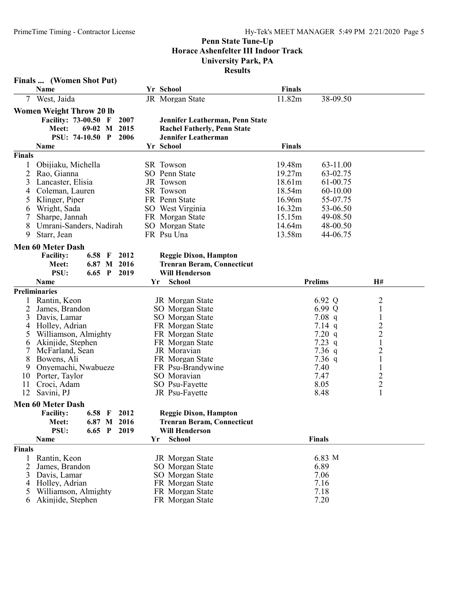|                                                                         | Finals  (Women Shot Put)                                                                                                                                                                                                                                                                               |                                |              |                      |    |                                                   |                                                                                                                                                                                                                                                                                               |                                                                                        |                                                                                                                        |                                                                                                                                                                                                    |  |
|-------------------------------------------------------------------------|--------------------------------------------------------------------------------------------------------------------------------------------------------------------------------------------------------------------------------------------------------------------------------------------------------|--------------------------------|--------------|----------------------|----|---------------------------------------------------|-----------------------------------------------------------------------------------------------------------------------------------------------------------------------------------------------------------------------------------------------------------------------------------------------|----------------------------------------------------------------------------------------|------------------------------------------------------------------------------------------------------------------------|----------------------------------------------------------------------------------------------------------------------------------------------------------------------------------------------------|--|
|                                                                         | Name                                                                                                                                                                                                                                                                                                   |                                |              |                      |    | Yr School                                         |                                                                                                                                                                                                                                                                                               | <b>Finals</b>                                                                          |                                                                                                                        |                                                                                                                                                                                                    |  |
|                                                                         | West, Jaida                                                                                                                                                                                                                                                                                            |                                |              |                      |    |                                                   | JR Morgan State                                                                                                                                                                                                                                                                               | 11.82m                                                                                 | 38-09.50                                                                                                               |                                                                                                                                                                                                    |  |
|                                                                         | <b>Women Weight Throw 20 lb</b><br>Facility: 73-00.50 F<br>Meet:<br><b>PSU: 74-10.50 P</b><br>Name                                                                                                                                                                                                     | $69-02$ M                      |              | 2007<br>2015<br>2006 |    | Yr School                                         | Jennifer Leatherman, Penn State<br><b>Rachel Fatherly, Penn State</b><br>Jennifer Leatherman                                                                                                                                                                                                  | <b>Finals</b>                                                                          |                                                                                                                        |                                                                                                                                                                                                    |  |
| Finals                                                                  |                                                                                                                                                                                                                                                                                                        |                                |              |                      |    |                                                   |                                                                                                                                                                                                                                                                                               |                                                                                        |                                                                                                                        |                                                                                                                                                                                                    |  |
| 1<br>$\overline{2}$<br>3<br>4<br>5<br>6<br>8<br>9                       | Obijiaku, Michella<br>Rao, Gianna<br>Lancaster, Elisia<br>Coleman, Lauren<br>Klinger, Piper<br>Wright, Sada<br>Sharpe, Jannah<br>Umrani-Sanders, Nadirah<br>Starr, Jean                                                                                                                                |                                |              |                      |    | SR Towson<br>JR Towson<br>SR Towson<br>FR Psu Una | SO Penn State<br>FR Penn State<br>SO West Virginia<br>FR Morgan State<br>SO Morgan State                                                                                                                                                                                                      | 19.48m<br>19.27m<br>18.61m<br>18.54m<br>16.96m<br>16.32m<br>15.15m<br>14.64m<br>13.58m | 63-11.00<br>63-02.75<br>61-00.75<br>60-10.00<br>55-07.75<br>53-06.50<br>49-08.50<br>48-00.50<br>44-06.75               |                                                                                                                                                                                                    |  |
|                                                                         | <b>Men 60 Meter Dash</b>                                                                                                                                                                                                                                                                               |                                |              |                      |    |                                                   |                                                                                                                                                                                                                                                                                               |                                                                                        |                                                                                                                        |                                                                                                                                                                                                    |  |
|                                                                         | <b>Facility:</b><br>Meet:<br>PSU:                                                                                                                                                                                                                                                                      | 6.58 $F$<br>6.87 M<br>$6.65$ P |              | 2012<br>2016<br>2019 |    |                                                   | <b>Reggie Dixon, Hampton</b><br><b>Trenran Beram, Connecticut</b><br><b>Will Henderson</b>                                                                                                                                                                                                    |                                                                                        |                                                                                                                        |                                                                                                                                                                                                    |  |
|                                                                         | Name                                                                                                                                                                                                                                                                                                   |                                |              |                      |    | Yr                                                | <b>School</b>                                                                                                                                                                                                                                                                                 |                                                                                        | <b>Prelims</b>                                                                                                         | H#                                                                                                                                                                                                 |  |
| 1<br>2<br>3<br>4<br>$\mathcal{L}$<br>6<br>7<br>8<br>9<br>10<br>11<br>12 | <b>Preliminaries</b><br>Rantin, Keon<br>James, Brandon<br>Davis, Lamar<br>Holley, Adrian<br>Williamson, Almighty<br>Akinjide, Stephen<br>McFarland, Sean<br>Bowens, Ali<br>Onyemachi, Nwabueze<br>Porter, Taylor<br>Croci, Adam<br>Savini, PJ<br><b>Men 60 Meter Dash</b><br><b>Facility:</b><br>Meet: | 6.58 $F$                       |              | 2012<br>6.87 M 2016  |    |                                                   | JR Morgan State<br>SO Morgan State<br>SO Morgan State<br>FR Morgan State<br>FR Morgan State<br>FR Morgan State<br>JR Moravian<br>FR Morgan State<br>FR Psu-Brandywine<br>SO Moravian<br>SO Psu-Fayette<br>JR Psu-Fayette<br><b>Reggie Dixon, Hampton</b><br><b>Trenran Beram, Connecticut</b> |                                                                                        | 6.92 Q<br>6.99 Q<br>$7.08$ q<br>$7.14$ q<br>7.20 q<br>7.23 $q$<br>$7.36$ q<br>$7.36$ q<br>7.40<br>7.47<br>8.05<br>8.48 | 2<br>$\mathbf{1}$<br>$\mathbf{1}$<br>$\boldsymbol{2}$<br>$\overline{c}$<br>$\mathbf{1}$<br>$\overline{\mathbf{c}}$<br>$\mathbf{1}$<br>$\mathbf{1}$<br>$\overline{c}$<br>$\sqrt{2}$<br>$\mathbf{1}$ |  |
|                                                                         | PSU:                                                                                                                                                                                                                                                                                                   | 6.65                           | $\mathbf{P}$ | 2019                 | Yr |                                                   | <b>Will Henderson</b><br>School                                                                                                                                                                                                                                                               |                                                                                        | <b>Finals</b>                                                                                                          |                                                                                                                                                                                                    |  |
| Finals                                                                  | Name                                                                                                                                                                                                                                                                                                   |                                |              |                      |    |                                                   |                                                                                                                                                                                                                                                                                               |                                                                                        |                                                                                                                        |                                                                                                                                                                                                    |  |
| 2<br>3<br>5<br>6                                                        | Rantin, Keon<br>James, Brandon<br>Davis, Lamar<br>4 Holley, Adrian<br>Williamson, Almighty<br>Akinjide, Stephen                                                                                                                                                                                        |                                |              |                      |    |                                                   | JR Morgan State<br>SO Morgan State<br>SO Morgan State<br>FR Morgan State<br>FR Morgan State<br>FR Morgan State                                                                                                                                                                                |                                                                                        | 6.83 M<br>6.89<br>7.06<br>7.16<br>7.18<br>7.20                                                                         |                                                                                                                                                                                                    |  |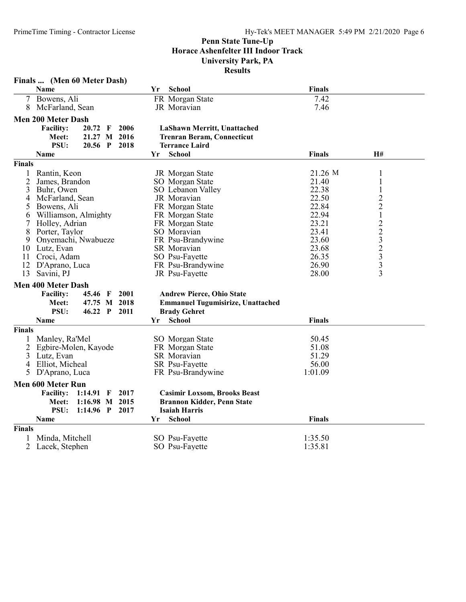|                | Finals  (Men 60 Meter Dash)           |      |                                          |               |                 |
|----------------|---------------------------------------|------|------------------------------------------|---------------|-----------------|
|                | Name                                  | Yr   | School                                   | <b>Finals</b> |                 |
| 7              | Bowens, Ali                           |      | FR Morgan State                          | 7.42          |                 |
| 8              | McFarland, Sean                       |      | JR Moravian                              | 7.46          |                 |
|                | <b>Men 200 Meter Dash</b>             |      |                                          |               |                 |
|                | <b>Facility:</b><br>$20.72 \text{ F}$ | 2006 | LaShawn Merritt, Unattached              |               |                 |
|                | 21.27 M 2016<br>Meet:                 |      | <b>Trenran Beram, Connecticut</b>        |               |                 |
|                | <b>PSU:</b><br>$20.56$ P              | 2018 | <b>Terrance Laird</b>                    |               |                 |
|                | Name                                  | Yr   | School                                   | <b>Finals</b> | H#              |
| Finals         |                                       |      |                                          |               |                 |
| 1              | Rantin, Keon                          |      | JR Morgan State                          | 21.26 M       | 1               |
| 2              | James, Brandon                        |      | SO Morgan State                          | 21.40         | $\mathbf{1}$    |
| 3              | Buhr, Owen                            |      | SO Lebanon Valley                        | 22.38         | 1               |
| 4              | McFarland, Sean                       |      | JR Moravian                              | 22.50         |                 |
| 5              | Bowens, Ali                           |      | FR Morgan State                          | 22.84         | $\frac{2}{2}$   |
| 6              | Williamson, Almighty                  |      | FR Morgan State                          | 22.94         | $\mathbf 1$     |
| 7              | Holley, Adrian                        |      | FR Morgan State                          | 23.21         |                 |
| 8              | Porter, Taylor                        |      | SO Moravian                              | 23.41         |                 |
| 9              | Onyemachi, Nwabueze                   |      | FR Psu-Brandywine                        | 23.60         |                 |
| 10             | Lutz, Evan                            |      | SR Moravian                              | 23.68         |                 |
| 11             | Croci, Adam                           |      | SO Psu-Fayette                           | 26.35         |                 |
| 12             | D'Aprano, Luca                        |      | FR Psu-Brandywine                        | 26.90         | $22323$<br>$33$ |
| 13             | Savini, PJ                            |      | JR Psu-Fayette                           | 28.00         | $\overline{3}$  |
|                |                                       |      |                                          |               |                 |
|                | <b>Men 400 Meter Dash</b>             |      |                                          |               |                 |
|                | <b>Facility:</b><br>45.46 F           | 2001 | <b>Andrew Pierce, Ohio State</b>         |               |                 |
|                | 47.75 M 2018<br>Meet:                 |      | <b>Emmanuel Tugumisirize, Unattached</b> |               |                 |
|                | PSU:<br>46.22 P                       | 2011 | <b>Brady Gehret</b>                      |               |                 |
|                | Name                                  | Yr   | School                                   | <b>Finals</b> |                 |
| <b>Finals</b>  |                                       |      |                                          |               |                 |
| 1              | Manley, Ra'Mel                        |      | SO Morgan State                          | 50.45         |                 |
| 2              | Egbire-Molen, Kayode                  |      | FR Morgan State                          | 51.08         |                 |
| 3              | Lutz, Evan                            |      | SR Moravian                              | 51.29         |                 |
| $\overline{4}$ | Elliot, Micheal                       |      | SR Psu-Fayette                           | 56.00         |                 |
| 5              | D'Aprano, Luca                        |      | FR Psu-Brandywine                        | 1:01.09       |                 |
|                | <b>Men 600 Meter Run</b>              |      |                                          |               |                 |
|                | <b>Facility:</b><br>1:14.91 F 2017    |      | <b>Casimir Loxsom, Brooks Beast</b>      |               |                 |
|                | 1:16.98 M 2015<br>Meet:               |      | <b>Brannon Kidder, Penn State</b>        |               |                 |
|                | PSU:<br>$1:14.96$ P                   | 2017 | <b>Isaiah Harris</b>                     |               |                 |
|                | Name                                  | Yr   | <b>School</b>                            | <b>Finals</b> |                 |
|                |                                       |      |                                          |               |                 |
| <b>Finals</b>  |                                       |      |                                          |               |                 |
|                | Minda, Mitchell                       |      | SO Psu-Fayette                           | 1:35.50       |                 |
| 2              | Lacek, Stephen                        |      | SO Psu-Fayette                           | 1:35.81       |                 |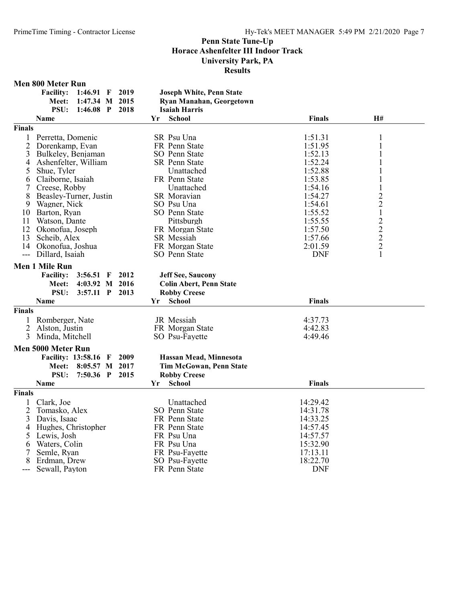#### Men 800 Meter Run

|               | THE BOOD THERE IS THE           |                                 |               |    |
|---------------|---------------------------------|---------------------------------|---------------|----|
|               | Facility: 1:46.91 F 2019        | <b>Joseph White, Penn State</b> |               |    |
|               | Meet: 1:47.34 M 2015            | Ryan Manahan, Georgetown        |               |    |
|               | <b>PSU: 1:46.08 P</b><br>- 2018 | <b>Isaiah Harris</b>            |               |    |
|               | <b>Name</b>                     | <b>School</b><br>Yг             | <b>Finals</b> | H# |
| <b>Finals</b> |                                 |                                 |               |    |
|               | Perretta, Domenic               | SR Psu Una                      | 1:51.31       |    |
|               | 2 Dorenkamp, Evan               | FR Penn State                   | 1:51.95       |    |
|               | 3 Bulkeley, Benjaman            | SO Penn State                   | 1:52.13       |    |

| $\overline{c}$           | Dorenkamp, Evan                         | FR Penn State                  | 1:51.95            | $\mathbf{1}$                               |  |
|--------------------------|-----------------------------------------|--------------------------------|--------------------|--------------------------------------------|--|
| 3                        | Bulkeley, Benjaman                      | SO Penn State                  | 1:52.13            | $\mathbf{1}$                               |  |
| 4                        | Ashenfelter, William                    | <b>SR</b> Penn State           | 1:52.24            |                                            |  |
| 5                        | Shue, Tyler                             | Unattached                     | 1:52.88            |                                            |  |
| 6                        | Claiborne, Isaiah                       | FR Penn State                  | 1:53.85            |                                            |  |
| 7                        | Creese, Robby                           | Unattached                     | 1:54.16            |                                            |  |
| 8                        | Beasley-Turner, Justin                  | <b>SR</b> Moravian             | 1:54.27            | $\overline{c}$                             |  |
| 9                        | Wagner, Nick                            | SO Psu Una                     | 1:54.61            | $\overline{2}$                             |  |
| 10                       | Barton, Ryan                            | SO Penn State                  | 1:55.52            | $\mathbf{1}$                               |  |
| 11                       | Watson, Dante                           | Pittsburgh                     | 1:55.55            |                                            |  |
| 12                       | Okonofua, Joseph                        | FR Morgan State                | 1:57.50            |                                            |  |
| 13                       | Scheib, Alex                            | SR Messiah                     | 1:57.66            | $\begin{array}{c} 2 \\ 2 \\ 2 \end{array}$ |  |
| 14                       | Okonofua, Joshua                        | FR Morgan State                | 2:01.59            |                                            |  |
| $\overline{\phantom{a}}$ | Dillard, Isaiah                         | SO Penn State                  | <b>DNF</b>         | 1                                          |  |
|                          | <b>Men 1 Mile Run</b>                   |                                |                    |                                            |  |
|                          | <b>Facility:</b><br>$3:56.51$ F<br>2012 | <b>Jeff See, Saucony</b>       |                    |                                            |  |
|                          | 4:03.92 M 2016<br>Meet:                 | <b>Colin Abert, Penn State</b> |                    |                                            |  |
|                          | PSU:<br>3:57.11 P 2013                  | <b>Robby Creese</b>            |                    |                                            |  |
|                          | Name                                    | School<br>Yr                   | <b>Finals</b>      |                                            |  |
| <b>Finals</b>            |                                         |                                |                    |                                            |  |
|                          | Romberger, Nate                         | JR Messiah                     | 4:37.73            |                                            |  |
|                          |                                         |                                |                    |                                            |  |
| 2<br>3                   | Alston, Justin                          | FR Morgan State                | 4:42.83<br>4:49.46 |                                            |  |
|                          | Minda, Mitchell                         | SO Psu-Fayette                 |                    |                                            |  |
|                          | Men 5000 Meter Run                      |                                |                    |                                            |  |
|                          | <b>Facility: 13:58.16 F</b><br>2009     | Hassan Mead, Minnesota         |                    |                                            |  |
|                          | 8:05.57 M 2017<br><b>Meet:</b>          | <b>Tim McGowan, Penn State</b> |                    |                                            |  |
|                          | PSU:<br>7:50.36 P 2015                  | <b>Robby Creese</b>            |                    |                                            |  |
|                          | <b>Name</b>                             | School<br>Yr                   | <b>Finals</b>      |                                            |  |
| Finals                   |                                         |                                |                    |                                            |  |
|                          | Clark, Joe                              | Unattached                     | 14:29.42           |                                            |  |
| $\overline{2}$           | Tomasko, Alex                           | SO Penn State                  | 14:31.78           |                                            |  |
| 3                        | Davis, Isaac                            | FR Penn State                  | 14:33.25           |                                            |  |
| 4                        | Hughes, Christopher                     | FR Penn State                  | 14:57.45           |                                            |  |
| 5                        | Lewis, Josh                             | FR Psu Una                     | 14:57.57           |                                            |  |
| 6                        | Waters, Colin                           | FR Psu Una                     | 15:32.90           |                                            |  |
| 7                        | Semle, Ryan                             | FR Psu-Fayette                 | 17:13.11           |                                            |  |
| 8                        | Erdman, Drew                            | SO Psu-Fayette                 | 18:22.70           |                                            |  |
| $---$                    | Sewall, Payton                          | FR Penn State                  | <b>DNF</b>         |                                            |  |

--- Sewall, Payton FR Penn State DNF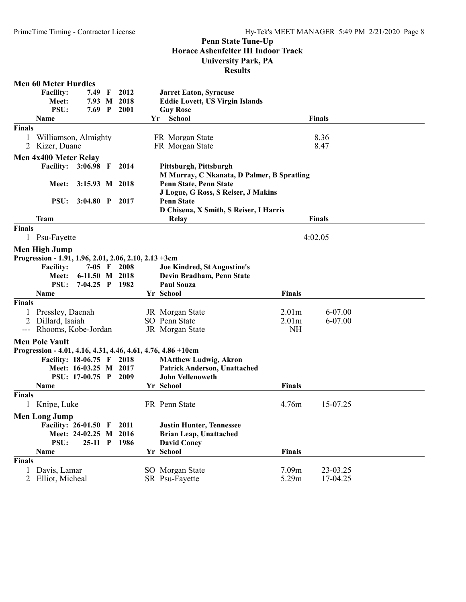|                     | <b>Men 60 Meter Hurdles</b>                           |                       |   |               |     |                                                                      |                   |               |  |
|---------------------|-------------------------------------------------------|-----------------------|---|---------------|-----|----------------------------------------------------------------------|-------------------|---------------|--|
|                     | <b>Facility:</b>                                      | 7.49                  | F | 2012          |     | <b>Jarret Eaton, Syracuse</b>                                        |                   |               |  |
|                     | Meet:                                                 | 7.93 M                |   | 2018          |     | <b>Eddie Lovett, US Virgin Islands</b>                               |                   |               |  |
|                     | PSU:                                                  | $7.69$ P              |   | 2001          |     | <b>Guy Rose</b>                                                      |                   |               |  |
|                     | Name                                                  |                       |   |               | Yr. | <b>School</b>                                                        |                   | <b>Finals</b> |  |
| <b>Finals</b>       |                                                       |                       |   |               |     |                                                                      |                   |               |  |
|                     | Williamson, Almighty                                  |                       |   |               |     | FR Morgan State                                                      |                   | 8.36          |  |
| $\overline{2}$      | Kizer, Duane                                          |                       |   |               |     | FR Morgan State                                                      |                   | 8.47          |  |
|                     | Men 4x400 Meter Relay                                 |                       |   |               |     |                                                                      |                   |               |  |
|                     | Facility: 3:06.98 F 2014                              |                       |   |               |     | Pittsburgh, Pittsburgh                                               |                   |               |  |
|                     |                                                       |                       |   |               |     |                                                                      |                   |               |  |
|                     | Meet:                                                 | 3:15.93 M 2018        |   |               |     | M Murray, C Nkanata, D Palmer, B Spratling<br>Penn State, Penn State |                   |               |  |
|                     |                                                       |                       |   |               |     |                                                                      |                   |               |  |
|                     |                                                       |                       |   |               |     | J Logue, G Ross, S Reiser, J Makins                                  |                   |               |  |
|                     | <b>PSU:</b>                                           | $3:04.80$ P           |   | 2017          |     | <b>Penn State</b>                                                    |                   |               |  |
|                     |                                                       |                       |   |               |     | D Chisena, X Smith, S Reiser, I Harris                               |                   |               |  |
|                     | <b>Team</b>                                           |                       |   |               |     | Relay                                                                |                   | <b>Finals</b> |  |
| <b>Finals</b>       |                                                       |                       |   |               |     |                                                                      |                   |               |  |
| $\mathbf{1}$        | Psu-Fayette                                           |                       |   |               |     |                                                                      |                   | 4:02.05       |  |
|                     | Men High Jump                                         |                       |   |               |     |                                                                      |                   |               |  |
|                     | Progression - 1.91, 1.96, 2.01, 2.06, 2.10, 2.13 +3cm |                       |   |               |     |                                                                      |                   |               |  |
|                     | <b>Facility:</b>                                      |                       |   | $7-05$ F 2008 |     | <b>Joe Kindred, St Augustine's</b>                                   |                   |               |  |
|                     | Meet:                                                 | 6-11.50 M 2018        |   |               |     | Devin Bradham, Penn State                                            |                   |               |  |
|                     | <b>PSU:</b>                                           | 7-04.25 P 1982        |   |               |     | <b>Paul Souza</b>                                                    |                   |               |  |
|                     | <b>Name</b>                                           |                       |   |               |     | Yr School                                                            | <b>Finals</b>     |               |  |
| <b>Finals</b>       |                                                       |                       |   |               |     |                                                                      |                   |               |  |
| 1                   | Pressley, Daenah                                      |                       |   |               |     | JR Morgan State                                                      | 2.01 <sub>m</sub> | 6-07.00       |  |
| 2                   | Dillard, Isaiah                                       |                       |   |               |     | SO Penn State                                                        | 2.01 <sub>m</sub> | 6-07.00       |  |
| $\qquad \qquad - -$ | Rhooms, Kobe-Jordan                                   |                       |   |               |     | JR Morgan State                                                      | <b>NH</b>         |               |  |
|                     |                                                       |                       |   |               |     |                                                                      |                   |               |  |
|                     | <b>Men Pole Vault</b>                                 |                       |   |               |     |                                                                      |                   |               |  |
|                     |                                                       |                       |   |               |     | Progression - 4.01, 4.16, 4.31, 4.46, 4.61, 4.76, 4.86 + 10cm        |                   |               |  |
|                     | Facility: 18-06.75 F 2018                             |                       |   |               |     | <b>MAtthew Ludwig, Akron</b>                                         |                   |               |  |
|                     |                                                       | Meet: 16-03.25 M 2017 |   |               |     | Patrick Anderson, Unattached                                         |                   |               |  |
|                     |                                                       | PSU: 17-00.75 P       |   | 2009          |     | <b>John Vellenoweth</b>                                              |                   |               |  |
|                     | Name                                                  |                       |   |               |     | Yr School                                                            | <b>Finals</b>     |               |  |
| <b>Finals</b>       |                                                       |                       |   |               |     |                                                                      |                   |               |  |
| 1                   | Knipe, Luke                                           |                       |   |               |     | FR Penn State                                                        | 4.76m             | 15-07.25      |  |
|                     | <b>Men Long Jump</b>                                  |                       |   |               |     |                                                                      |                   |               |  |
|                     | Facility: 26-01.50 F                                  |                       |   | 2011          |     | <b>Justin Hunter, Tennessee</b>                                      |                   |               |  |
|                     |                                                       | Meet: 24-02.25 M      |   | 2016          |     | <b>Brian Leap, Unattached</b>                                        |                   |               |  |
|                     | PSU:                                                  | $25-11$ P             |   | 1986          |     | <b>David Coney</b>                                                   |                   |               |  |
|                     | Name                                                  |                       |   |               |     | Yr School                                                            | <b>Finals</b>     |               |  |
| <b>Finals</b>       |                                                       |                       |   |               |     |                                                                      |                   |               |  |
| 1                   | Davis, Lamar                                          |                       |   |               |     | SO Morgan State                                                      | 7.09m             | 23-03.25      |  |
| $\overline{2}$      | Elliot, Micheal                                       |                       |   |               |     | SR Psu-Fayette                                                       | 5.29m             | 17-04.25      |  |
|                     |                                                       |                       |   |               |     |                                                                      |                   |               |  |